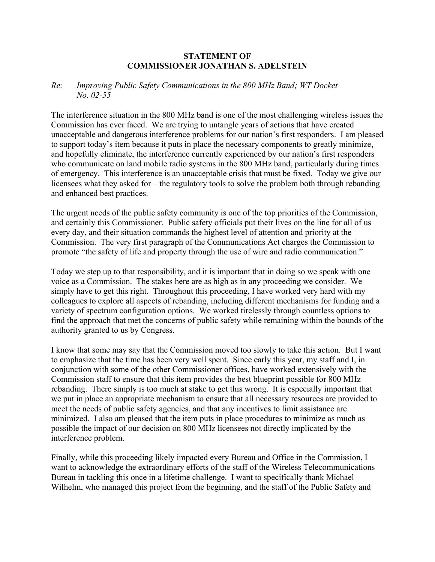## **STATEMENT OF COMMISSIONER JONATHAN S. ADELSTEIN**

## *Re: Improving Public Safety Communications in the 800 MHz Band; WT Docket No. 02-55*

The interference situation in the 800 MHz band is one of the most challenging wireless issues the Commission has ever faced. We are trying to untangle years of actions that have created unacceptable and dangerous interference problems for our nation's first responders. I am pleased to support today's item because it puts in place the necessary components to greatly minimize, and hopefully eliminate, the interference currently experienced by our nation's first responders who communicate on land mobile radio systems in the 800 MHz band, particularly during times of emergency. This interference is an unacceptable crisis that must be fixed. Today we give our licensees what they asked for – the regulatory tools to solve the problem both through rebanding and enhanced best practices.

The urgent needs of the public safety community is one of the top priorities of the Commission, and certainly this Commissioner. Public safety officials put their lives on the line for all of us every day, and their situation commands the highest level of attention and priority at the Commission. The very first paragraph of the Communications Act charges the Commission to promote "the safety of life and property through the use of wire and radio communication."

Today we step up to that responsibility, and it is important that in doing so we speak with one voice as a Commission. The stakes here are as high as in any proceeding we consider. We simply have to get this right. Throughout this proceeding, I have worked very hard with my colleagues to explore all aspects of rebanding, including different mechanisms for funding and a variety of spectrum configuration options. We worked tirelessly through countless options to find the approach that met the concerns of public safety while remaining within the bounds of the authority granted to us by Congress.

I know that some may say that the Commission moved too slowly to take this action. But I want to emphasize that the time has been very well spent. Since early this year, my staff and I, in conjunction with some of the other Commissioner offices, have worked extensively with the Commission staff to ensure that this item provides the best blueprint possible for 800 MHz rebanding. There simply is too much at stake to get this wrong. It is especially important that we put in place an appropriate mechanism to ensure that all necessary resources are provided to meet the needs of public safety agencies, and that any incentives to limit assistance are minimized. I also am pleased that the item puts in place procedures to minimize as much as possible the impact of our decision on 800 MHz licensees not directly implicated by the interference problem.

Finally, while this proceeding likely impacted every Bureau and Office in the Commission, I want to acknowledge the extraordinary efforts of the staff of the Wireless Telecommunications Bureau in tackling this once in a lifetime challenge. I want to specifically thank Michael Wilhelm, who managed this project from the beginning, and the staff of the Public Safety and